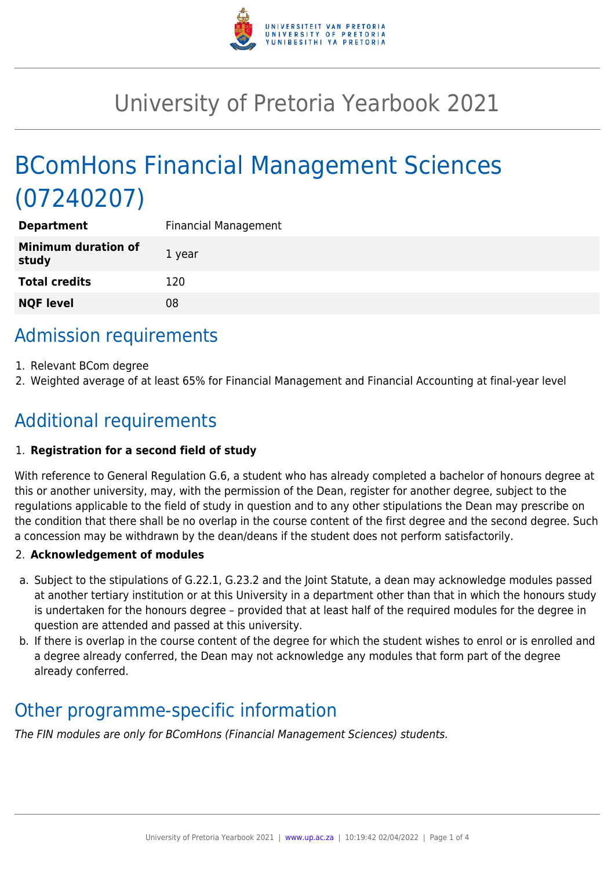

# University of Pretoria Yearbook 2021

# BComHons Financial Management Sciences (07240207)

| <b>Department</b>                   | <b>Financial Management</b> |
|-------------------------------------|-----------------------------|
| <b>Minimum duration of</b><br>study | 1 year                      |
| <b>Total credits</b>                | 120                         |
| <b>NQF level</b>                    | 08                          |
|                                     |                             |

## Admission requirements

- 1. Relevant BCom degree
- 2. Weighted average of at least 65% for Financial Management and Financial Accounting at final-year level

## Additional requirements

## 1. **Registration for a second field of study**

With reference to General Regulation G.6, a student who has already completed a bachelor of honours degree at this or another university, may, with the permission of the Dean, register for another degree, subject to the regulations applicable to the field of study in question and to any other stipulations the Dean may prescribe on the condition that there shall be no overlap in the course content of the first degree and the second degree. Such a concession may be withdrawn by the dean/deans if the student does not perform satisfactorily.

## 2. **Acknowledgement of modules**

- a. Subject to the stipulations of G.22.1, G.23.2 and the Joint Statute, a dean may acknowledge modules passed at another tertiary institution or at this University in a department other than that in which the honours study is undertaken for the honours degree – provided that at least half of the required modules for the degree in question are attended and passed at this university.
- b. If there is overlap in the course content of the degree for which the student wishes to enrol or is enrolled and a degree already conferred, the Dean may not acknowledge any modules that form part of the degree already conferred.

## Other programme-specific information

The FIN modules are only for BComHons (Financial Management Sciences) students.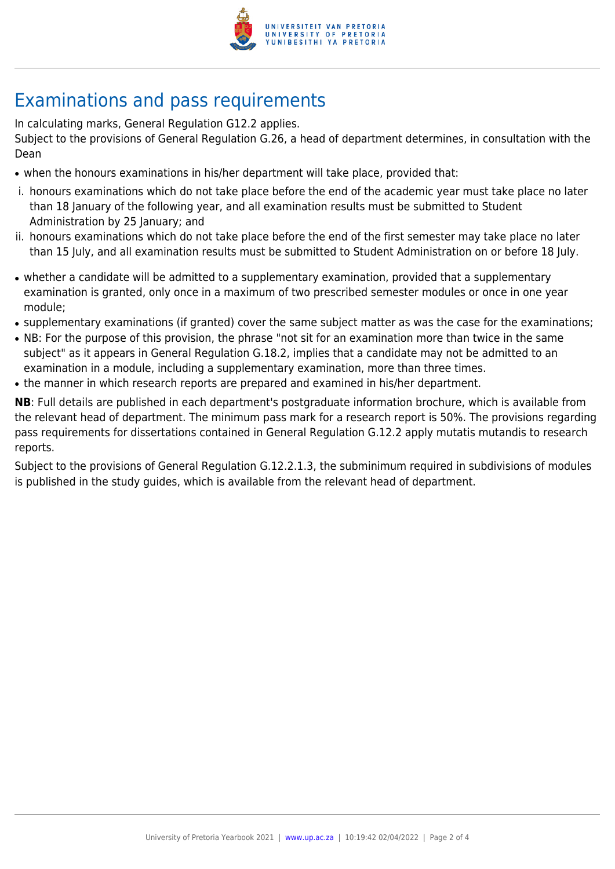

## Examinations and pass requirements

In calculating marks, General Regulation G12.2 applies.

Subject to the provisions of General Regulation G.26, a head of department determines, in consultation with the Dean

- when the honours examinations in his/her department will take place, provided that:
- i. honours examinations which do not take place before the end of the academic year must take place no later than 18 January of the following year, and all examination results must be submitted to Student Administration by 25 January; and
- ii. honours examinations which do not take place before the end of the first semester may take place no later than 15 July, and all examination results must be submitted to Student Administration on or before 18 July.
- whether a candidate will be admitted to a supplementary examination, provided that a supplementary examination is granted, only once in a maximum of two prescribed semester modules or once in one year module;
- supplementary examinations (if granted) cover the same subject matter as was the case for the examinations;
- NB: For the purpose of this provision, the phrase "not sit for an examination more than twice in the same subject" as it appears in General Regulation G.18.2, implies that a candidate may not be admitted to an examination in a module, including a supplementary examination, more than three times.
- the manner in which research reports are prepared and examined in his/her department.

**NB**: Full details are published in each department's postgraduate information brochure, which is available from the relevant head of department. The minimum pass mark for a research report is 50%. The provisions regarding pass requirements for dissertations contained in General Regulation G.12.2 apply mutatis mutandis to research reports.

Subject to the provisions of General Regulation G.12.2.1.3, the subminimum required in subdivisions of modules is published in the study guides, which is available from the relevant head of department.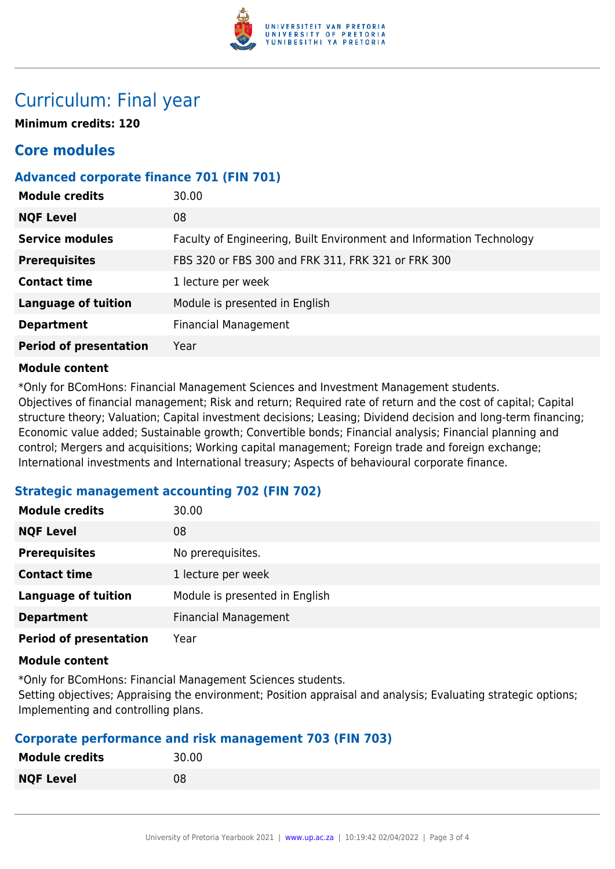

## Curriculum: Final year

**Minimum credits: 120**

## **Core modules**

## **Advanced corporate finance 701 (FIN 701)**

| <b>Module credits</b>         | 30.00                                                                |
|-------------------------------|----------------------------------------------------------------------|
| <b>NQF Level</b>              | 08                                                                   |
| <b>Service modules</b>        | Faculty of Engineering, Built Environment and Information Technology |
| <b>Prerequisites</b>          | FBS 320 or FBS 300 and FRK 311, FRK 321 or FRK 300                   |
| <b>Contact time</b>           | 1 lecture per week                                                   |
| <b>Language of tuition</b>    | Module is presented in English                                       |
| <b>Department</b>             | <b>Financial Management</b>                                          |
| <b>Period of presentation</b> | Year                                                                 |
|                               |                                                                      |

### **Module content**

\*Only for BComHons: Financial Management Sciences and Investment Management students. Objectives of financial management; Risk and return; Required rate of return and the cost of capital; Capital structure theory; Valuation; Capital investment decisions; Leasing; Dividend decision and long-term financing; Economic value added; Sustainable growth; Convertible bonds; Financial analysis; Financial planning and control; Mergers and acquisitions; Working capital management; Foreign trade and foreign exchange; International investments and International treasury; Aspects of behavioural corporate finance.

## **Strategic management accounting 702 (FIN 702)**

| <b>Module credits</b>         | 30.00                          |
|-------------------------------|--------------------------------|
| <b>NQF Level</b>              | 08                             |
| <b>Prerequisites</b>          | No prerequisites.              |
| <b>Contact time</b>           | 1 lecture per week             |
| <b>Language of tuition</b>    | Module is presented in English |
| <b>Department</b>             | <b>Financial Management</b>    |
| <b>Period of presentation</b> | Year                           |

### **Module content**

\*Only for BComHons: Financial Management Sciences students.

Setting objectives; Appraising the environment; Position appraisal and analysis; Evaluating strategic options; Implementing and controlling plans.

## **Corporate performance and risk management 703 (FIN 703)**

| <b>Module credits</b> | 30.00 |
|-----------------------|-------|
| <b>NQF Level</b>      | 08    |